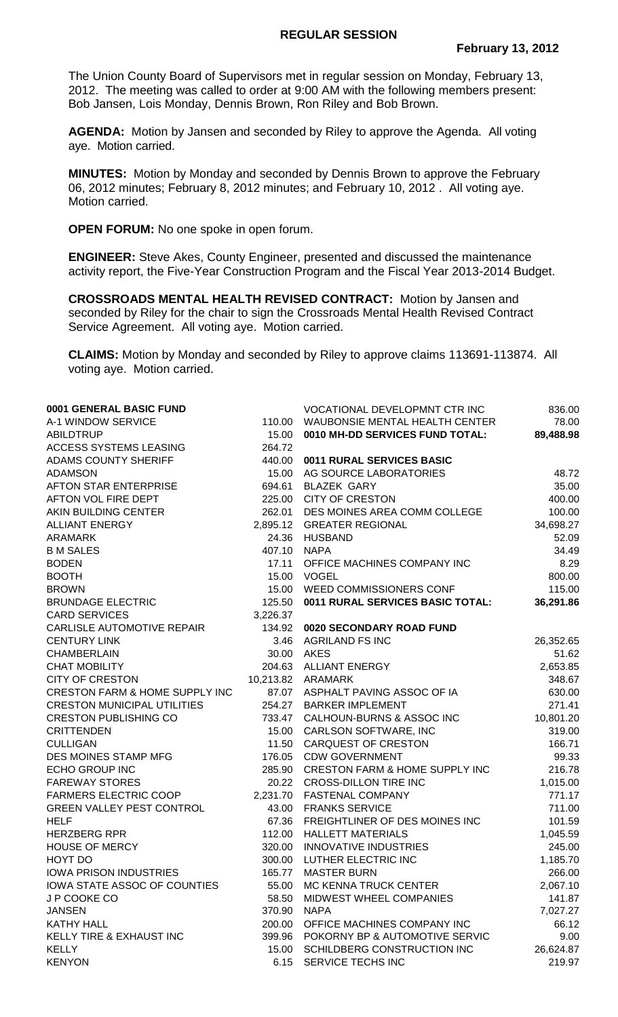## **REGULAR SESSION**

The Union County Board of Supervisors met in regular session on Monday, February 13, 2012. The meeting was called to order at 9:00 AM with the following members present: Bob Jansen, Lois Monday, Dennis Brown, Ron Riley and Bob Brown.

**AGENDA:** Motion by Jansen and seconded by Riley to approve the Agenda. All voting aye. Motion carried.

**MINUTES:** Motion by Monday and seconded by Dennis Brown to approve the February 06, 2012 minutes; February 8, 2012 minutes; and February 10, 2012 . All voting aye. Motion carried.

**OPEN FORUM:** No one spoke in open forum.

**ENGINEER:** Steve Akes, County Engineer, presented and discussed the maintenance activity report, the Five-Year Construction Program and the Fiscal Year 2013-2014 Budget.

**CROSSROADS MENTAL HEALTH REVISED CONTRACT:** Motion by Jansen and seconded by Riley for the chair to sign the Crossroads Mental Health Revised Contract Service Agreement. All voting aye. Motion carried.

**CLAIMS:** Motion by Monday and seconded by Riley to approve claims 113691-113874. All voting aye. Motion carried.

| 0001 GENERAL BASIC FUND            |          | VOCATIONAL DEVELOPMNT CTR INC             | 836.00    |
|------------------------------------|----------|-------------------------------------------|-----------|
| A-1 WINDOW SERVICE                 | 110.00   | WAUBONSIE MENTAL HEALTH CENTER            | 78.00     |
| <b>ABILDTRUP</b>                   | 15.00    | 0010 MH-DD SERVICES FUND TOTAL:           | 89,488.98 |
| ACCESS SYSTEMS LEASING             | 264.72   |                                           |           |
| <b>ADAMS COUNTY SHERIFF</b>        | 440.00   | 0011 RURAL SERVICES BASIC                 |           |
| <b>ADAMSON</b>                     | 15.00    | AG SOURCE LABORATORIES                    | 48.72     |
| AFTON STAR ENTERPRISE              | 694.61   | <b>BLAZEK GARY</b>                        | 35.00     |
| AFTON VOL FIRE DEPT                | 225.00   | <b>CITY OF CRESTON</b>                    | 400.00    |
| AKIN BUILDING CENTER               | 262.01   | DES MOINES AREA COMM COLLEGE              | 100.00    |
| <b>ALLIANT ENERGY</b>              |          | 2,895.12 GREATER REGIONAL                 | 34,698.27 |
| <b>ARAMARK</b>                     | 24.36    | <b>HUSBAND</b>                            | 52.09     |
| <b>B M SALES</b>                   | 407.10   | <b>NAPA</b>                               | 34.49     |
| <b>BODEN</b>                       | 17.11    | OFFICE MACHINES COMPANY INC               | 8.29      |
| <b>BOOTH</b>                       | 15.00    | <b>VOGEL</b>                              | 800.00    |
| <b>BROWN</b>                       | 15.00    | WEED COMMISSIONERS CONF                   | 115.00    |
| <b>BRUNDAGE ELECTRIC</b>           | 125.50   | 0011 RURAL SERVICES BASIC TOTAL:          | 36,291.86 |
| <b>CARD SERVICES</b>               | 3,226.37 |                                           |           |
| CARLISLE AUTOMOTIVE REPAIR         |          | 134.92 0020 SECONDARY ROAD FUND           |           |
| <b>CENTURY LINK</b>                |          | 3.46 AGRILAND FS INC                      | 26,352.65 |
| <b>CHAMBERLAIN</b>                 |          | 30.00 AKES                                | 51.62     |
| <b>CHAT MOBILITY</b>               |          | 204.63 ALLIANT ENERGY                     | 2,653.85  |
| <b>CITY OF CRESTON</b>             |          | 10,213.82 ARAMARK                         | 348.67    |
| CRESTON FARM & HOME SUPPLY INC     |          | 87.07 ASPHALT PAVING ASSOC OF IA          | 630.00    |
| <b>CRESTON MUNICIPAL UTILITIES</b> | 254.27   | <b>BARKER IMPLEMENT</b>                   | 271.41    |
| <b>CRESTON PUBLISHING CO</b>       | 733.47   | CALHOUN-BURNS & ASSOC INC                 | 10,801.20 |
| <b>CRITTENDEN</b>                  | 15.00    | CARLSON SOFTWARE, INC                     | 319.00    |
| <b>CULLIGAN</b>                    | 11.50    | <b>CARQUEST OF CRESTON</b>                | 166.71    |
| DES MOINES STAMP MFG               | 176.05   | <b>CDW GOVERNMENT</b>                     | 99.33     |
| <b>ECHO GROUP INC</b>              | 285.90   | <b>CRESTON FARM &amp; HOME SUPPLY INC</b> | 216.78    |
| <b>FAREWAY STORES</b>              | 20.22    | <b>CROSS-DILLON TIRE INC</b>              | 1,015.00  |
| <b>FARMERS ELECTRIC COOP</b>       | 2,231.70 | <b>FASTENAL COMPANY</b>                   | 771.17    |
| <b>GREEN VALLEY PEST CONTROL</b>   | 43.00    | <b>FRANKS SERVICE</b>                     | 711.00    |
| <b>HELF</b>                        | 67.36    | FREIGHTLINER OF DES MOINES INC            | 101.59    |
| <b>HERZBERG RPR</b>                | 112.00   | <b>HALLETT MATERIALS</b>                  | 1,045.59  |
| <b>HOUSE OF MERCY</b>              | 320.00   | <b>INNOVATIVE INDUSTRIES</b>              | 245.00    |
| HOYT DO                            | 300.00   | LUTHER ELECTRIC INC                       | 1,185.70  |
| <b>IOWA PRISON INDUSTRIES</b>      | 165.77   | <b>MASTER BURN</b>                        | 266.00    |
| IOWA STATE ASSOC OF COUNTIES       | 55.00    | <b>MC KENNA TRUCK CENTER</b>              | 2,067.10  |
| J P COOKE CO                       | 58.50    | MIDWEST WHEEL COMPANIES                   | 141.87    |
| <b>JANSEN</b>                      | 370.90   | <b>NAPA</b>                               | 7,027.27  |
| <b>KATHY HALL</b>                  | 200.00   | OFFICE MACHINES COMPANY INC               | 66.12     |
| KELLY TIRE & EXHAUST INC           | 399.96   | POKORNY BP & AUTOMOTIVE SERVIC            | 9.00      |
| <b>KELLY</b>                       | 15.00    | SCHILDBERG CONSTRUCTION INC               | 26,624.87 |
| <b>KENYON</b>                      | 6.15     | SERVICE TECHS INC                         | 219.97    |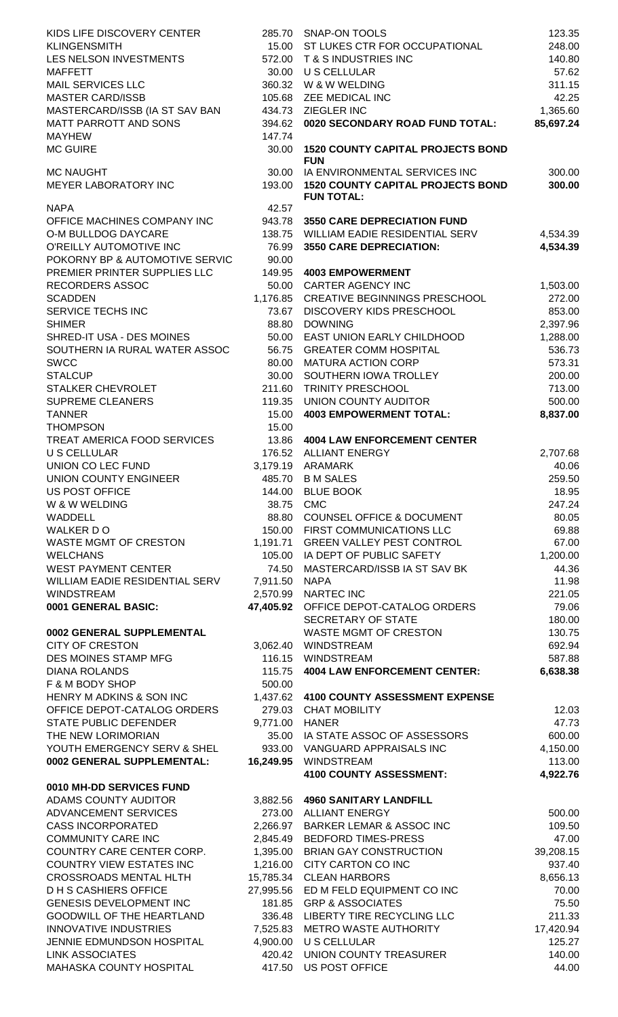| KIDS LIFE DISCOVERY CENTER                                   |                      | 285.70 SNAP-ON TOOLS                                              | 123.35              |
|--------------------------------------------------------------|----------------------|-------------------------------------------------------------------|---------------------|
| <b>KLINGENSMITH</b>                                          | 15.00                | ST LUKES CTR FOR OCCUPATIONAL                                     | 248.00              |
| LES NELSON INVESTMENTS                                       | 572.00               | T & S INDUSTRIES INC                                              | 140.80              |
| <b>MAFFETT</b>                                               | 30.00                | U S CELLULAR                                                      | 57.62               |
| <b>MAIL SERVICES LLC</b>                                     | 360.32               | W & W WELDING                                                     | 311.15              |
| <b>MASTER CARD/ISSB</b>                                      | 105.68               | ZEE MEDICAL INC                                                   | 42.25               |
| MASTERCARD/ISSB (IA ST SAV BAN                               | 434.73               | <b>ZIEGLER INC</b>                                                | 1,365.60            |
| <b>MATT PARROTT AND SONS</b>                                 | 394.62               | 0020 SECONDARY ROAD FUND TOTAL:                                   | 85,697.24           |
| <b>MAYHEW</b>                                                | 147.74               |                                                                   |                     |
| <b>MC GUIRE</b>                                              | 30.00                | <b>1520 COUNTY CAPITAL PROJECTS BOND</b><br><b>FUN</b>            |                     |
| <b>MC NAUGHT</b>                                             | 30.00                | IA ENVIRONMENTAL SERVICES INC                                     | 300.00              |
| MEYER LABORATORY INC                                         | 193.00               | <b>1520 COUNTY CAPITAL PROJECTS BOND</b>                          | 300.00              |
|                                                              |                      | <b>FUN TOTAL:</b>                                                 |                     |
| <b>NAPA</b>                                                  | 42.57                |                                                                   |                     |
| OFFICE MACHINES COMPANY INC                                  | 943.78               | <b>3550 CARE DEPRECIATION FUND</b>                                |                     |
| O-M BULLDOG DAYCARE                                          | 138.75               | WILLIAM EADIE RESIDENTIAL SERV                                    | 4,534.39            |
| O'REILLY AUTOMOTIVE INC                                      | 76.99                | 3550 CARE DEPRECIATION:                                           | 4,534.39            |
| POKORNY BP & AUTOMOTIVE SERVIC                               | 90.00                |                                                                   |                     |
| PREMIER PRINTER SUPPLIES LLC                                 | 149.95               | <b>4003 EMPOWERMENT</b>                                           |                     |
| <b>RECORDERS ASSOC</b>                                       | 50.00                | <b>CARTER AGENCY INC</b>                                          | 1,503.00            |
| <b>SCADDEN</b>                                               | 1,176.85             | CREATIVE BEGINNINGS PRESCHOOL                                     | 272.00              |
| SERVICE TECHS INC                                            | 73.67                | DISCOVERY KIDS PRESCHOOL                                          | 853.00              |
| <b>SHIMER</b>                                                | 88.80                | <b>DOWNING</b>                                                    | 2,397.96            |
| SHRED-IT USA - DES MOINES                                    | 50.00                | EAST UNION EARLY CHILDHOOD                                        | 1,288.00            |
| SOUTHERN IA RURAL WATER ASSOC                                | 56.75                | <b>GREATER COMM HOSPITAL</b>                                      | 536.73              |
| <b>SWCC</b>                                                  | 80.00                | <b>MATURA ACTION CORP</b>                                         | 573.31              |
| <b>STALCUP</b>                                               | 30.00                | SOUTHERN IOWA TROLLEY                                             | 200.00              |
| STALKER CHEVROLET                                            | 211.60               | TRINITY PRESCHOOL                                                 | 713.00              |
| <b>SUPREME CLEANERS</b>                                      | 119.35               | <b>UNION COUNTY AUDITOR</b>                                       | 500.00              |
| <b>TANNER</b>                                                | 15.00                | <b>4003 EMPOWERMENT TOTAL:</b>                                    | 8,837.00            |
| <b>THOMPSON</b>                                              | 15.00                |                                                                   |                     |
| TREAT AMERICA FOOD SERVICES                                  | 13.86                | <b>4004 LAW ENFORCEMENT CENTER</b>                                |                     |
| <b>U S CELLULAR</b>                                          | 176.52               | <b>ALLIANT ENERGY</b>                                             | 2,707.68            |
| UNION CO LEC FUND                                            | 3,179.19             | ARAMARK                                                           | 40.06               |
| <b>UNION COUNTY ENGINEER</b>                                 |                      | 485.70 B M SALES                                                  | 259.50              |
| US POST OFFICE                                               |                      | 144.00 BLUE BOOK                                                  | 18.95               |
| W & W WELDING                                                |                      | 38.75 CMC                                                         | 247.24              |
| WADDELL                                                      |                      | 88.80 COUNSEL OFFICE & DOCUMENT                                   | 80.05               |
| WALKER DO                                                    |                      | 150.00 FIRST COMMUNICATIONS LLC                                   | 69.88               |
| WASTE MGMT OF CRESTON                                        | 1,191.71             | <b>GREEN VALLEY PEST CONTROL</b>                                  | 67.00               |
| <b>WELCHANS</b>                                              | 105.00               | IA DEPT OF PUBLIC SAFETY                                          | 1,200.00            |
| <b>WEST PAYMENT CENTER</b>                                   | 74.50                | MASTERCARD/ISSB IA ST SAV BK                                      | 44.36               |
| WILLIAM EADIE RESIDENTIAL SERV                               | 7,911.50             | <b>NAPA</b>                                                       | 11.98               |
| <b>WINDSTREAM</b>                                            | 2,570.99             | <b>NARTEC INC</b>                                                 | 221.05              |
| 0001 GENERAL BASIC:                                          |                      | 47,405.92 OFFICE DEPOT-CATALOG ORDERS                             | 79.06               |
|                                                              |                      | SECRETARY OF STATE                                                | 180.00              |
| 0002 GENERAL SUPPLEMENTAL                                    |                      | WASTE MGMT OF CRESTON                                             | 130.75              |
| <b>CITY OF CRESTON</b>                                       | 3,062.40             | WINDSTREAM                                                        | 692.94              |
| DES MOINES STAMP MFG                                         | 116.15               | WINDSTREAM                                                        | 587.88              |
| <b>DIANA ROLANDS</b>                                         | 115.75               | <b>4004 LAW ENFORCEMENT CENTER:</b>                               | 6,638.38            |
| F & M BODY SHOP                                              | 500.00               |                                                                   |                     |
| HENRY M ADKINS & SON INC                                     |                      | 1,437.62 4100 COUNTY ASSESSMENT EXPENSE                           |                     |
| OFFICE DEPOT-CATALOG ORDERS                                  |                      | 279.03 CHAT MOBILITY                                              | 12.03               |
| <b>STATE PUBLIC DEFENDER</b>                                 | 9,771.00 HANER       |                                                                   | 47.73               |
| THE NEW LORIMORIAN                                           | 35.00                | IA STATE ASSOC OF ASSESSORS                                       | 600.00              |
| YOUTH EMERGENCY SERV & SHEL                                  |                      | 933.00 VANGUARD APPRAISALS INC                                    | 4,150.00            |
| 0002 GENERAL SUPPLEMENTAL:                                   | 16,249.95            | WINDSTREAM                                                        | 113.00              |
|                                                              |                      | 4100 COUNTY ASSESSMENT:                                           | 4,922.76            |
| 0010 MH-DD SERVICES FUND                                     |                      |                                                                   |                     |
| ADAMS COUNTY AUDITOR<br>ADVANCEMENT SERVICES                 |                      | 3,882.56 4960 SANITARY LANDFILL<br>273.00 ALLIANT ENERGY          |                     |
|                                                              |                      |                                                                   | 500.00              |
| <b>CASS INCORPORATED</b><br><b>COMMUNITY CARE INC</b>        | 2,266.97             | <b>BARKER LEMAR &amp; ASSOC INC</b><br><b>BEDFORD TIMES-PRESS</b> | 109.50              |
|                                                              | 2,845.49             |                                                                   | 47.00               |
| COUNTRY CARE CENTER CORP.<br><b>COUNTRY VIEW ESTATES INC</b> | 1,395.00<br>1,216.00 | <b>BRIAN GAY CONSTRUCTION</b><br>CITY CARTON CO INC               | 39,208.15<br>937.40 |
| <b>CROSSROADS MENTAL HLTH</b>                                |                      |                                                                   |                     |
| <b>DHS CASHIERS OFFICE</b>                                   |                      | 15,785.34 CLEAN HARBORS<br>27,995.56 ED M FELD EQUIPMENT CO INC   | 8,656.13            |
| <b>GENESIS DEVELOPMENT INC</b>                               |                      | <b>GRP &amp; ASSOCIATES</b>                                       | 70.00               |
| GOODWILL OF THE HEARTLAND                                    | 181.85               | 336.48 LIBERTY TIRE RECYCLING LLC                                 | 75.50<br>211.33     |
| <b>INNOVATIVE INDUSTRIES</b>                                 |                      | 7,525.83 METRO WASTE AUTHORITY                                    | 17,420.94           |
| JENNIE EDMUNDSON HOSPITAL                                    |                      | U S CELLULAR                                                      | 125.27              |
| <b>LINK ASSOCIATES</b>                                       | 4,900.00<br>420.42   | <b>UNION COUNTY TREASURER</b>                                     | 140.00              |
| MAHASKA COUNTY HOSPITAL                                      | 417.50               | US POST OFFICE                                                    | 44.00               |
|                                                              |                      |                                                                   |                     |